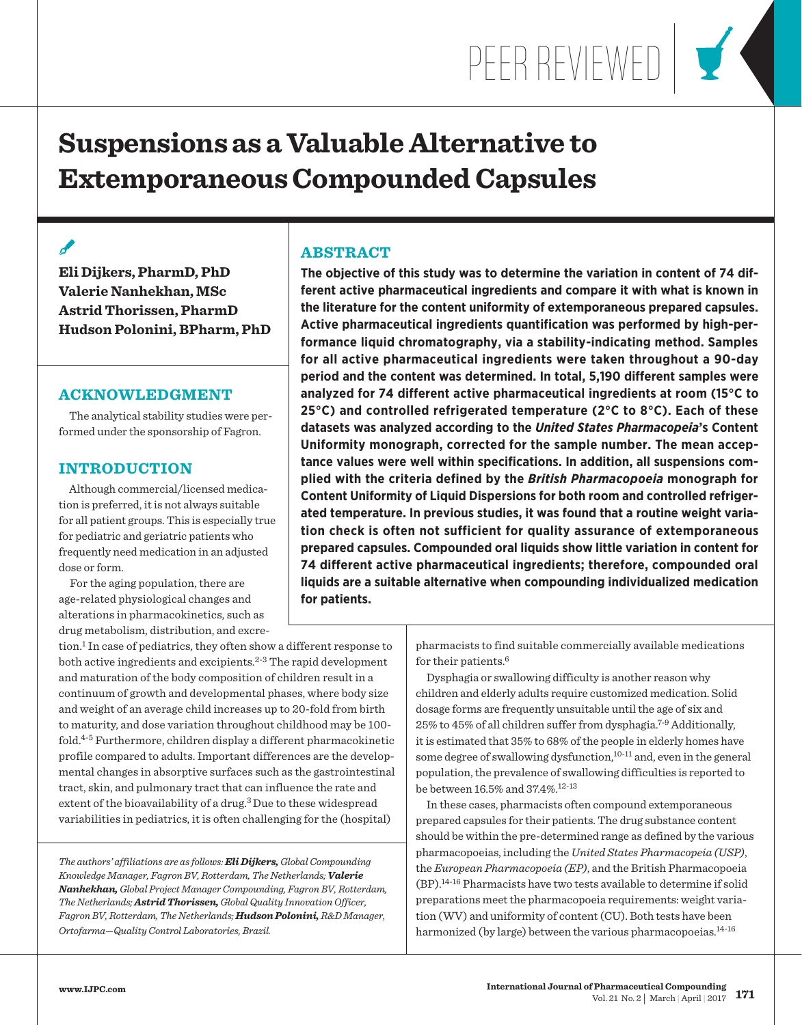PEER REVIEWED

# **Suspensions as a Valuable Alternative to Extemporaneous Compounded Capsules**

# $\overline{\mathscr{L}}$

**Eli Dijkers, PharmD, PhD Valerie Nanhekhan, MSc Astrid Thorissen, PharmD Hudson Polonini, BPharm, PhD**

## **ACKNOWLEDGMENT**

 The analytical stability studies were performed under the sponsorship of Fagron.

## **INTRODUCTION**

 Although commercial/licensed medication is preferred, it is not always suitable for all patient groups. This is especially true for pediatric and geriatric patients who frequently need medication in an adjusted dose or form.

 For the aging population, there are age-related physiological changes and alterations in pharmacokinetics, such as drug metabolism, distribution, and excre-

# **ABSTRACT**

**The objective of this study was to determine the variation in content of 74 different active pharmaceutical ingredients and compare it with what is known in the literature for the content uniformity of extemporaneous prepared capsules. Active pharmaceutical ingredients quantification was performed by high-performance liquid chromatography, via a stability-indicating method. Samples for all active pharmaceutical ingredients were taken throughout a 90-day period and the content was determined. In total, 5,190 different samples were analyzed for 74 different active pharmaceutical ingredients at room (15°C to 25°C) and controlled refrigerated temperature (2°C to 8°C). Each of these datasets was analyzed according to the** *United States Pharmacopeia***'s Content Uniformity monograph, corrected for the sample number. The mean acceptance values were well within specifications. In addition, all suspensions complied with the criteria defined by the** *British Pharmacopoeia* **monograph for Content Uniformity of Liquid Dispersions for both room and controlled refrigerated temperature. In previous studies, it was found that a routine weight variation check is often not sufficient for quality assurance of extemporaneous prepared capsules. Compounded oral liquids show little variation in content for 74 different active pharmaceutical ingredients; therefore, compounded oral liquids are a suitable alternative when compounding individualized medication for patients.**

tion.1 In case of pediatrics, they often show a different response to both active ingredients and excipients.<sup>2-3</sup> The rapid development and maturation of the body composition of children result in a continuum of growth and developmental phases, where body size and weight of an average child increases up to 20-fold from birth to maturity, and dose variation throughout childhood may be 100 fold. $4-5$  Furthermore, children display a different pharmacokinetic profile compared to adults. Important differences are the developmental changes in absorptive surfaces such as the gastrointestinal tract, skin, and pulmonary tract that can influence the rate and extent of the bioavailability of a drug.<sup>3</sup> Due to these widespread variabilities in pediatrics, it is often challenging for the (hospital)

*The authors' affiliations are as follows: Eli Dijkers, Global Compounding Knowledge Manager, Fagron BV, Rotterdam, The Netherlands; Valerie Nanhekhan, Global Project Manager Compounding, Fagron BV, Rotterdam, The Netherlands; Astrid Thorissen, Global Quality Innovation Officer, Fagron BV, Rotterdam, The Netherlands; Hudson Polonini, R&D Manager, Ortofarma—Quality Control Laboratories, Brazil.*

pharmacists to find suitable commercially available medications for their patients.<sup>6</sup>

 Dysphagia or swallowing difficulty is another reason why children and elderly adults require customized medication. Solid dosage forms are frequently unsuitable until the age of six and 25% to 45% of all children suffer from dysphagia.7-9 Additionally, it is estimated that 35% to 68% of the people in elderly homes have some degree of swallowing dysfunction, $10-11$  and, even in the general population, the prevalence of swallowing difficulties is reported to be between 16.5% and 37.4%.12-13

 In these cases, pharmacists often compound extemporaneous prepared capsules for their patients. The drug substance content should be within the pre-determined range as defined by the various pharmacopoeias, including the *United States Pharmacopeia (USP)*, the *European Pharmacopoeia (EP)*, and the British Pharmacopoeia (BP).14-16 Pharmacists have two tests available to determine if solid preparations meet the pharmacopoeia requirements: weight variation (WV) and uniformity of content (CU). Both tests have been harmonized (by large) between the various pharmacopoeias.<sup>14-16</sup>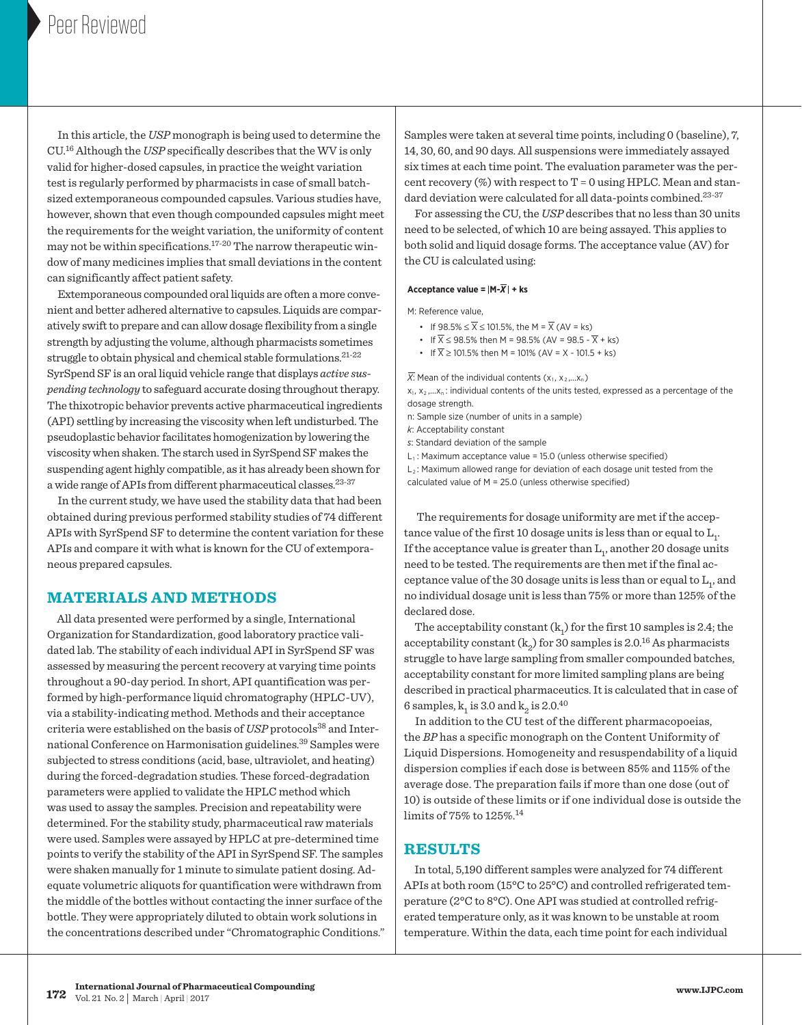In this article, the *USP* monograph is being used to determine the CU.16 Although the *USP* specifically describes that the WV is only valid for higher-dosed capsules, in practice the weight variation test is regularly performed by pharmacists in case of small batchsized extemporaneous compounded capsules. Various studies have, however, shown that even though compounded capsules might meet the requirements for the weight variation, the uniformity of content may not be within specifications.17-20 The narrow therapeutic window of many medicines implies that small deviations in the content can significantly affect patient safety.

 Extemporaneous compounded oral liquids are often a more convenient and better adhered alternative to capsules. Liquids are comparatively swift to prepare and can allow dosage flexibility from a single strength by adjusting the volume, although pharmacists sometimes struggle to obtain physical and chemical stable formulations.21-22 SyrSpend SF is an oral liquid vehicle range that displays *active suspending technology* to safeguard accurate dosing throughout therapy. The thixotropic behavior prevents active pharmaceutical ingredients (API) settling by increasing the viscosity when left undisturbed. The pseudoplastic behavior facilitates homogenization by lowering the viscosity when shaken. The starch used in SyrSpend SF makes the suspending agent highly compatible, as it has already been shown for a wide range of APIs from different pharmaceutical classes.<sup>23-37</sup>

 In the current study, we have used the stability data that had been obtained during previous performed stability studies of 74 different APIs with SyrSpend SF to determine the content variation for these APIs and compare it with what is known for the CU of extemporaneous prepared capsules.

## **MATERIALS AND METHODS**

 All data presented were performed by a single, International Organization for Standardization, good laboratory practice validated lab. The stability of each individual API in SyrSpend SF was assessed by measuring the percent recovery at varying time points throughout a 90-day period. In short, API quantification was performed by high-performance liquid chromatography (HPLC-UV), via a stability-indicating method. Methods and their acceptance criteria were established on the basis of *USP* protocols<sup>38</sup> and International Conference on Harmonisation guidelines.39 Samples were subjected to stress conditions (acid, base, ultraviolet, and heating) during the forced-degradation studies. These forced-degradation parameters were applied to validate the HPLC method which was used to assay the samples. Precision and repeatability were determined. For the stability study, pharmaceutical raw materials were used. Samples were assayed by HPLC at pre-determined time points to verify the stability of the API in SyrSpend SF. The samples were shaken manually for 1 minute to simulate patient dosing. Adequate volumetric aliquots for quantification were withdrawn from the middle of the bottles without contacting the inner surface of the bottle. They were appropriately diluted to obtain work solutions in the concentrations described under "Chromatographic Conditions."

Samples were taken at several time points, including 0 (baseline), 7, 75 14, 30, 60, and 90 days. All suspensions were immediately assayed six times at each time point. The evaluation parameter was the percent recovery  $(\%)$  with respect to T = 0 using HPLC. Mean and standard deviation were calculated for all data-points combined.<sup>23-37</sup>

85

 For assessing the CU, the *USP* describes that no less than 30 units need to be selected, of which 10 are being assayed. This applies to both solid and liquid dosage forms. The acceptance value (AV) for the CU is calculated using:

#### **Acceptance value = M-***X* **+ ks**

M: Reference value,

5

- If  $98.5\% \leq \overline{X} \leq 101.5\%$ , the M =  $\overline{X}$  (AV = ks)
- If  $\overline{X} \le 98.5\%$  then M = 98.5% (AV = 98.5  $\overline{X}$  + ks)
- If  $\overline{X} \ge 101.5\%$  then M = 101% (AV = X 101.5 + ks)

 $X:$  Mean of the individual contents  $(x_1, x_2,...x_n)$ 

 $x_1, x_2, ... x_n$ : individual contents of the units tested, expressed as a percentage of the dosage strength.

- n: Sample size (number of units in a sample)
- *k*: Acceptability constant
- *s*: Standard deviation of the sample
- $L_1$ : Maximum acceptance value = 15.0 (unless otherwise specified)

 $\mathsf{L}_2$ : Maximum allowed range for deviation of each dosage unit tested from the calculated value of M = 25.0 (unless otherwise specified)

 The requirements for dosage uniformity are met if the acceptance value of the first 10 dosage units is less than or equal to  $\mathrm{L_{1}}.$ If the acceptance value is greater than  $\mathop{\hbox{\rm L}}\nolimits_1,$  another 20 dosage units need to be tested. The requirements are then met if the final acceptance value of the 30 dosage units is less than or equal to  $\mathop{\hbox{\rm L}}\nolimits_1,$  and no individual dosage unit is less than 75% or more than 125% of the declared dose.  $\overline{\phantom{0}}$ 

The acceptability constant  $(k_1)$  for the first 10 samples is 2.4; the acceptability constant ( $\mathbf{k}_2$ ) for 30 samples is 2.0.<sup>16</sup> As pharmacists struggle to have large sampling from smaller compounded batches, acceptability constant for more limited sampling plans are being described in practical pharmaceutics. It is calculated that in case of 6 samples,  $k_1$  is 3.0 and  $k_2$  is 2.0.<sup>40</sup> 0.045  $\Box$ 0.035

 In addition to the CU test of the different pharmacopoeias, the *BP* has a specific monograph on the Content Uniformity of | Liquid Dispersions. Homogeneity and resuspendability of a liquid dispersion complies if each dose is between  $85\%$  and  $115\%$  of the average dose. The preparation fails if more than one dose (out of 10) is outside of these limits or if one individual dose is outside the limits of 75% to 125%.14 0.020

#### **RESULTS**

 In total, 5,190 different samples were analyzed for 74 different APIs at both room (15°C to 25°C) and controlled refrigerated temperature (2°C to 8°C). One API was studied at controlled refrigerated temperature only, as it was known to be unstable at room temperature. Within the data, each time point for each individual

120% 115% 110%  $105$ 100%

90%

80%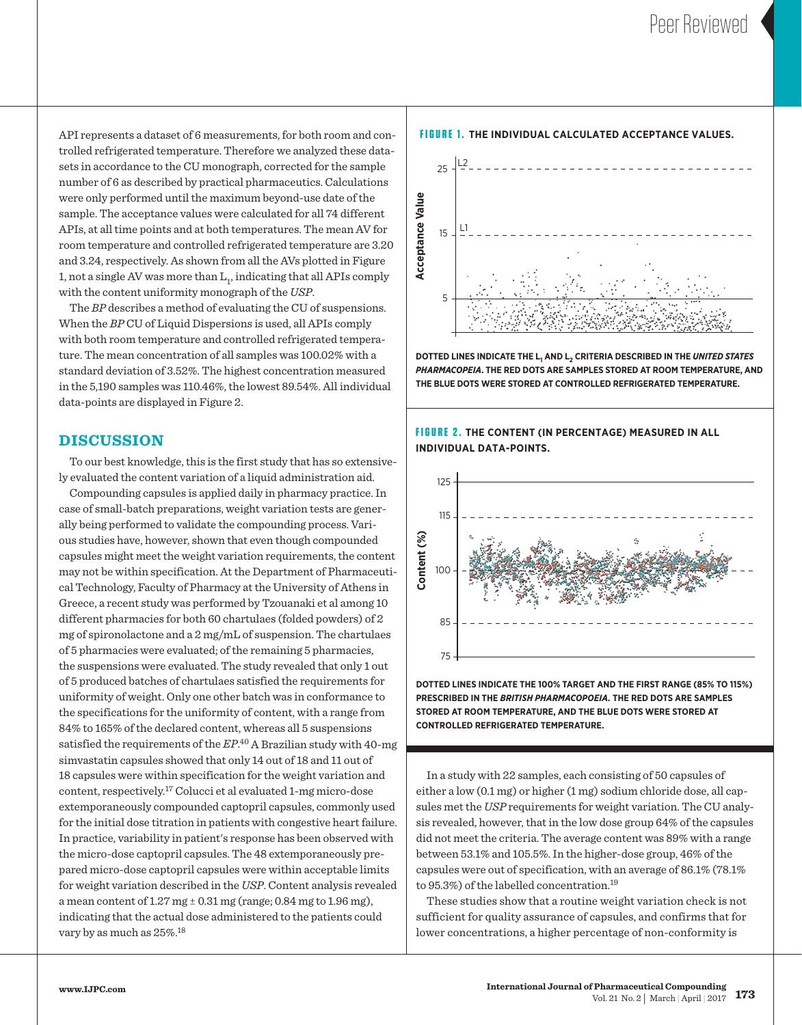**Content (%)**

API represents a dataset of 6 measurements, for both room and controlled refrigerated temperature. Therefore we analyzed these datasets in accordance to the CU monograph, corrected for the sample number of 6 as described by practical pharmaceutics. Calculations were only performed until the maximum beyond-use date of the sample. The acceptance values were calculated for all 74 different APIs, at all time points and at both temperatures. The mean AV for room temperature and controlled refrigerated temperature are 3.20 and 3.24, respectively. As shown from all the AVs plotted in Figure 1, not a single AV was more than  $\mathrm{L}_1$ , indicating that all APIs comply with the content uniformity monograph of the *USP*.

 The *BP* describes a method of evaluating the CU of suspensions. When the *BP* CU of Liquid Dispersions is used, all APIs comply with both room temperature and controlled refrigerated temperature. The mean concentration of all samples was 100.02% with a standard deviation of 3.52%. The highest concentration measured in the 5,190 samples was 110.46%, the lowest 89.54%. All individual data-points are displayed in Figure 2.

### **DISCUSSION**

 To our best knowledge, this is the first study that has so extensively evaluated the content variation of a liquid administration aid.

Compounding capsules is applied daily in pharmacy practice. In case of small-batch preparations, weight variation tests are generally being performed to validate the compounding process. Various studies have, however, shown that even though compounded capsules might meet the weight variation requirements, the content may not be within specification. At the Department of Pharmaceutical Technology, Faculty of Pharmacy at the University of Athens in Greece, a recent study was performed by Tzouanaki et al among 10 different pharmacies for both 60 chartulaes (folded powders) of 2 5 mg of spironolactone and a 2 mg/mL of suspension. The chartulaes of 5 pharmacies were evaluated; of the remaining 5 pharmacies, the suspensions were evaluated. The study revealed that only 1 out of 5 produced batches of chartulaes satisfied the requirements for uniformity of weight. Only one other batch was in conformance to the specifications for the uniformity of content, with a range from 84% to 165% of the declared content, whereas all 5 suspensions satisfied the requirements of the *EP*.<sup>40</sup> A Brazilian study with 40-mg simvastatin capsules showed that only 14 out of 18 and 11 out of 18 capsules were within specification for the weight variation and content, respectively.17 Colucci et al evaluated 1-mg micro-dose extemporaneously compounded captopril capsules, commonly used for the initial dose titration in patients with congestive heart failure. In practice, variability in patient's response has been observed with the micro-dose captopril capsules. The 48 extemporaneously pre- $\bm{{\mathsf{pared}}}\,\text{micro-dose}$  captopril capsules were within acceptable limits for weight variation described in the *USP*. Content analysis revealed a mean content of  $1.27 \text{ mg} \pm 0.31 \text{ mg}$  (range; 0.84 mg to  $1.96 \text{ mg}$ ), indicating that the actual dose administered to the patients could  $\frac{1}{2}$  vary by as much as 25%.<sup>18</sup> **all**<br>วน<br>2ม<br>2ม

n: Sample size (number of units in a sample)

#### **FIGURE 1. THE INDIVIDUAL CALCULATED ACCEPTANCE VALUES.**



**DOTTED LINES INDICATE THE L1 AND L2 CRITERIA DESCRIBED IN THE** *UNITED STATES PHARMACOPEIA***. THE RED DOTS ARE SAMPLES STORED AT ROOM TEMPERATURE, AND THE BLUE DOTS WERE STORED AT CONTROLLED REFRIGERATED TEMPERATURE.**

**FIGURE 2. THE CONTENT (IN PERCENTAGE) MEASURED IN ALL INDIVIDUAL DATA-POINTS.**



DOTTED LINES INDICATE THE 100% TARGET AND THE FIRST RANGE (85% TO 115%) **DETE** PRESCRIBED IN THE *BRITISH PHARMACOPOEIA.* THE RED DOTS ARE SAMPLES **STORED AT ROOM TEMPERATURE, AND THE BLUE DOTS WERE STORED AT CONTROLLED REFRIGERATED TEMPERATURE.**

0.050 capsules were out of specification, with an average of  $86.1\%$  (7 $8.1\%$ to 95.3%) of the labelled concentration.<sup>19</sup> between 53.1% and 105.5%. In the higher-dose group, 46% of the In a study with 22 samples, each consisting of 50 capsules of either a low (0.1 mg) or higher (1 mg) sodium chloride dose, all capsules met the *USP* requirements for weight variation. The CU analysis revealed, however, that in the low dose group 64% of the capsules did not meet the criteria. The average content was 89% with a range

These studies show that a routine weight variation check is not sufficient for quality assurance of capsules, and confirms that for lower concentrations, a higher percentage of non-conformity is

0.020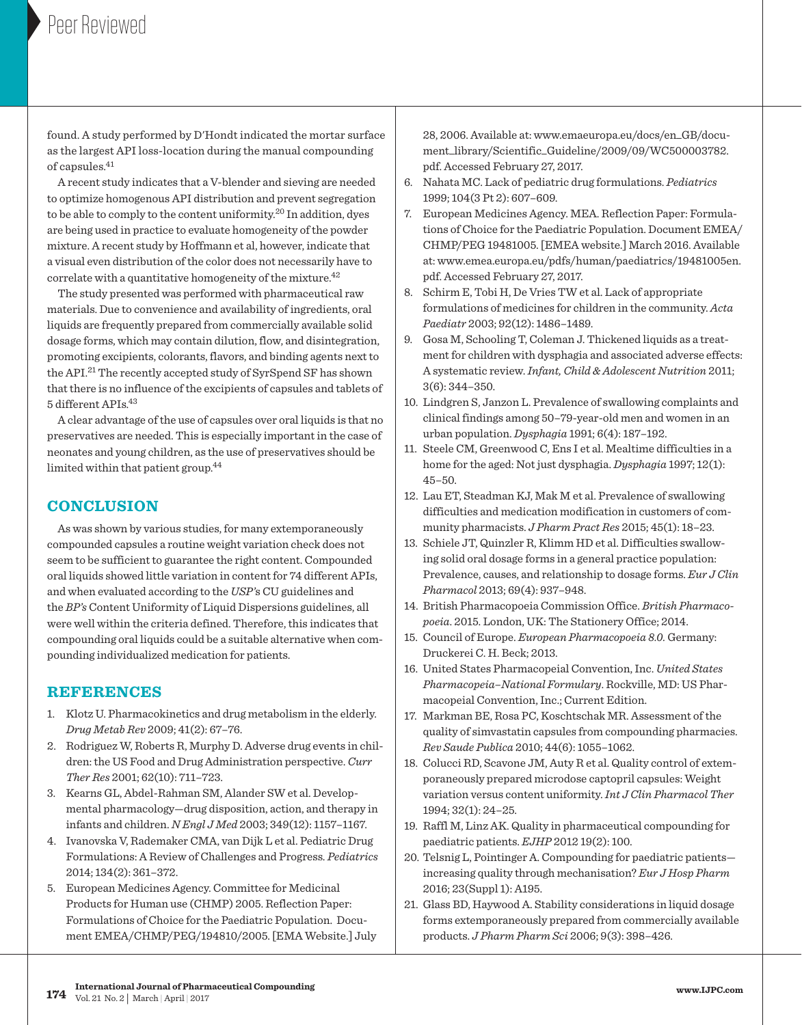found. A study performed by D'Hondt indicated the mortar surface as the largest API loss-location during the manual compounding of capsules.41

 A recent study indicates that a V-blender and sieving are needed to optimize homogenous API distribution and prevent segregation to be able to comply to the content uniformity.20 In addition, dyes are being used in practice to evaluate homogeneity of the powder mixture. A recent study by Hoffmann et al, however, indicate that a visual even distribution of the color does not necessarily have to correlate with a quantitative homogeneity of the mixture. $42$ 

 The study presented was performed with pharmaceutical raw materials. Due to convenience and availability of ingredients, oral liquids are frequently prepared from commercially available solid dosage forms, which may contain dilution, flow, and disintegration, promoting excipients, colorants, flavors, and binding agents next to the API.21 The recently accepted study of SyrSpend SF has shown that there is no influence of the excipients of capsules and tablets of 5 different APIs.43

 A clear advantage of the use of capsules over oral liquids is that no preservatives are needed. This is especially important in the case of neonates and young children, as the use of preservatives should be limited within that patient group.44

## **CONCLUSION**

 As was shown by various studies, for many extemporaneously compounded capsules a routine weight variation check does not seem to be sufficient to guarantee the right content. Compounded oral liquids showed little variation in content for 74 different APIs, and when evaluated according to the *USP'*s CU guidelines and the *BP's* Content Uniformity of Liquid Dispersions guidelines, all were well within the criteria defined. Therefore, this indicates that compounding oral liquids could be a suitable alternative when compounding individualized medication for patients.

## **REFERENCES**

- 1. Klotz U. Pharmacokinetics and drug metabolism in the elderly. *Drug Metab Rev* 2009; 41(2): 67–76.
- 2. Rodriguez W, Roberts R, Murphy D. Adverse drug events in children: the US Food and Drug Administration perspective. *Curr Ther Res* 2001; 62(10): 711–723.
- 3. Kearns GL, Abdel-Rahman SM, Alander SW et al. Developmental pharmacology—drug disposition, action, and therapy in infants and children. *N Engl J Med* 2003; 349(12): 1157–1167.
- 4. Ivanovska V, Rademaker CMA, van Dijk L et al. Pediatric Drug Formulations: A Review of Challenges and Progress. *Pediatrics* 2014; 134(2): 361–372.
- 5. European Medicines Agency. Committee for Medicinal Products for Human use (CHMP) 2005. Reflection Paper: Formulations of Choice for the Paediatric Population. Document EMEA/CHMP/PEG/194810/2005. [EMA Website.] July

[28, 2006. Available at: www.emaeuropa.eu/docs/en\\_GB/docu](http://www.emaeuropa.eu/docs/en_GB/docu-ment_library/Scientific_Guideline/2009/09/WC500003782)ment\_[library/Scientific\\_Guideline/2009/09/WC500003782.](http://www.emaeuropa.eu/docs/en_GB/docu-ment_library/Scientific_Guideline/2009/09/WC500003782) pdf. Accessed February 27, 2017.

- 6. Nahata MC. Lack of pediatric drug formulations. *Pediatrics* 1999; 104(3 Pt 2): 607–609.
- 7. European Medicines Agency. MEA. Reflection Paper: Formulations of Choice for the Paediatric Population. Document EMEA/ CHMP/PEG 19481005. [EMEA website.] March 2016. Available at: [www.emea.europa.eu/pdfs/human/paediatrics/19481005en.](http://www.emea.europa.eu/pdfs/human/paediatrics/19481005en) pdf. Accessed February 27, 2017.
- 8. Schirm E, Tobi H, De Vries TW et al. Lack of appropriate formulations of medicines for children in the community. *Acta Paediatr* 2003; 92(12): 1486–1489.
- 9. Gosa M, Schooling T, Coleman J. Thickened liquids as a treatment for children with dysphagia and associated adverse effects: A systematic review. *Infant, Child & Adolescent Nutrition* 2011; 3(6): 344–350.
- 10. Lindgren S, Janzon L. Prevalence of swallowing complaints and clinical findings among 50–79-year-old men and women in an urban population. *Dysphagia* 1991; 6(4): 187–192.
- 11. Steele CM, Greenwood C, Ens I et al. Mealtime difficulties in a home for the aged: Not just dysphagia. *Dysphagia* 1997; 12(1): 45–50.
- 12. Lau ET, Steadman KJ, Mak M et al. Prevalence of swallowing difficulties and medication modification in customers of community pharmacists. *J Pharm Pract Res* 2015; 45(1): 18–23.
- 13. Schiele JT, Quinzler R, Klimm HD et al. Difficulties swallowing solid oral dosage forms in a general practice population: Prevalence, causes, and relationship to dosage forms. *Eur J Clin Pharmacol* 2013; 69(4): 937–948.
- 14. British Pharmacopoeia Commission Office. *British Pharmacopoeia*. 2015. London, UK: The Stationery Office; 2014.
- 15. Council of Europe. *European Pharmacopoeia 8.0.* Germany: Druckerei C. H. Beck; 2013.
- 16. United States Pharmacopeial Convention, Inc. *United States Pharmacopeia–National Formulary*. Rockville, MD: US Pharmacopeial Convention, Inc.; Current Edition.
- 17. Markman BE, Rosa PC, Koschtschak MR. Assessment of the quality of simvastatin capsules from compounding pharmacies. *Rev Saude Publica* 2010; 44(6): 1055–1062.
- 18. Colucci RD, Scavone JM, Auty R et al. Quality control of extemporaneously prepared microdose captopril capsules: Weight variation versus content uniformity. *Int J Clin Pharmacol Ther* 1994; 32(1): 24–25.
- 19. Raffl M, Linz AK. Quality in pharmaceutical compounding for paediatric patients. *EJHP* 2012 19(2): 100.
- 20. Telsnig L, Pointinger A. Compounding for paediatric patients increasing quality through mechanisation? *Eur J Hosp Pharm* 2016; 23(Suppl 1): A195.
- 21. Glass BD, Haywood A. Stability considerations in liquid dosage forms extemporaneously prepared from commercially available products. *J Pharm Pharm Sci* 2006; 9(3): 398–426.